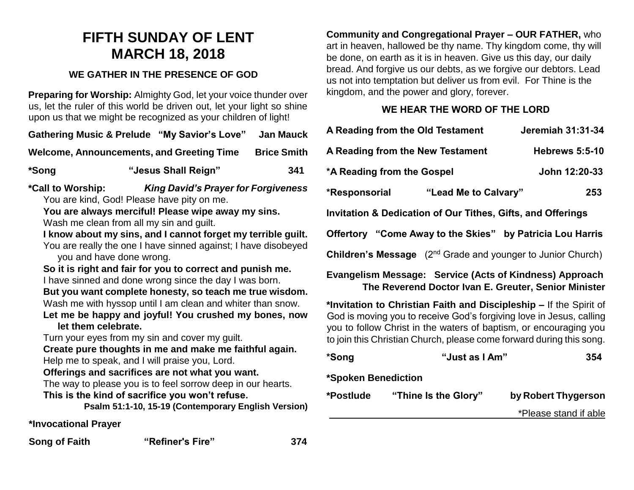## **FIFTH SUNDAY OF LENT MARCH 18, 2018**

## **WE GATHER IN THE PRESENCE OF GOD**

**Preparing for Worship:** Almighty God, let your voice thunder over us, let the ruler of this world be driven out, let your light so shine upon us that we might be recognized as your children of light!

**Gathering Music & Prelude "My Savior's Love" Jan Mauck**

Welcome, Announcements, and Greeting Time Brice Smith

**\*Song "Jesus Shall Reign" 341**

**\*Call to Worship:** *King David's Prayer for Forgiveness* You are kind, God! Please have pity on me.

**You are always merciful! Please wipe away my sins.** Wash me clean from all my sin and guilt.

**I know about my sins, and I cannot forget my terrible guilt.** You are really the one I have sinned against; I have disobeyed you and have done wrong.

**So it is right and fair for you to correct and punish me.** I have sinned and done wrong since the day I was born. **But you want complete honesty, so teach me true wisdom.** Wash me with hyssop until I am clean and whiter than snow. **Let me be happy and joyful! You crushed my bones, now let them celebrate.**

Turn your eyes from my sin and cover my guilt.

**Create pure thoughts in me and make me faithful again.** Help me to speak, and I will praise you, Lord.

**Offerings and sacrifices are not what you want.**

The way to please you is to feel sorrow deep in our hearts. **This is the kind of sacrifice you won't refuse.**

**Psalm 51:1-10, 15-19 (Contemporary English Version)**

**\*Invocational Prayer**

**Song of Faith "Refiner's Fire" 374** 

**Community and Congregational Prayer – OUR FATHER,** who art in heaven, hallowed be thy name. Thy kingdom come, thy will be done, on earth as it is in heaven. Give us this day, our daily bread. And forgive us our debts, as we forgive our debtors. Lead us not into temptation but deliver us from evil. For Thine is the kingdom, and the power and glory, forever.

## **WE HEAR THE WORD OF THE LORD**

| A Reading from the Old Testament                                               |                      | Jeremiah 31:31-34     |  |
|--------------------------------------------------------------------------------|----------------------|-----------------------|--|
| A Reading from the New Testament                                               |                      | <b>Hebrews 5:5-10</b> |  |
| *A Reading from the Gospel                                                     |                      | John 12:20-33         |  |
| *Responsorial                                                                  | "Lead Me to Calvary" | 253                   |  |
| <b>Invitation &amp; Dedication of Our Tithes, Gifts, and Offerings</b>         |                      |                       |  |
| Offertory "Come Away to the Skies" by Patricia Lou Harris                      |                      |                       |  |
| <b>Children's Message</b> (2 <sup>nd</sup> Grade and younger to Junior Church) |                      |                       |  |
|                                                                                |                      |                       |  |

**Evangelism Message: Service (Acts of Kindness) Approach The Reverend Doctor Ivan E. Greuter, Senior Minister**

**\*Invitation to Christian Faith and Discipleship –** If the Spirit of God is moving you to receive God's forgiving love in Jesus, calling you to follow Christ in the waters of baptism, or encouraging you to join this Christian Church, please come forward during this song.

| *Song               | "Just as I Am"       | 354                   |
|---------------------|----------------------|-----------------------|
| *Spoken Benediction |                      |                       |
| *Postlude           | "Thine Is the Glory" | by Robert Thygerson   |
|                     |                      | *Please stand if able |